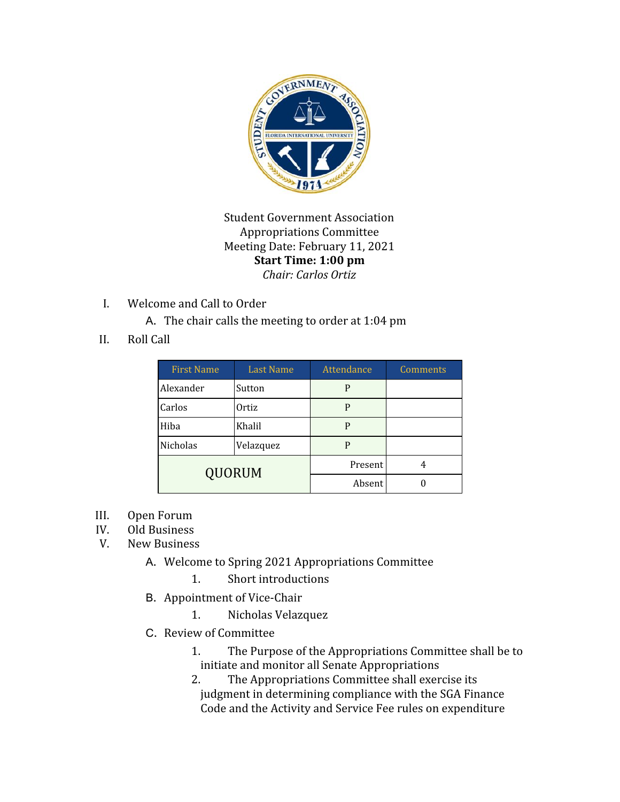

Student Government Association Appropriations Committee Meeting Date: February 11, 2021 **Start Time: 1:00 pm** *Chair: Carlos Ortiz*

I. Welcome and Call to Order

A. The chair calls the meeting to order at 1:04 pm

II. Roll Call

| <b>First Name</b> | <b>Last Name</b> | Attendance | Comments |
|-------------------|------------------|------------|----------|
| Alexander         | Sutton           | P          |          |
| Carlos            | Ortiz            | P          |          |
| Hiba              | Khalil           | P          |          |
| Nicholas          | Velazquez        | P          |          |
| <b>QUORUM</b>     |                  | Present    |          |
|                   |                  | Absent     |          |

- III. Open Forum
- IV. Old Business
- V. New Business
	- A. Welcome to Spring 2021 Appropriations Committee
		- 1. Short introductions
	- B. Appointment of Vice-Chair
		- 1. Nicholas Velazquez
	- C. Review of Committee
		- 1. The Purpose of the Appropriations Committee shall be to initiate and monitor all Senate Appropriations
		- 2. The Appropriations Committee shall exercise its judgment in determining compliance with the SGA Finance Code and the Activity and Service Fee rules on expenditure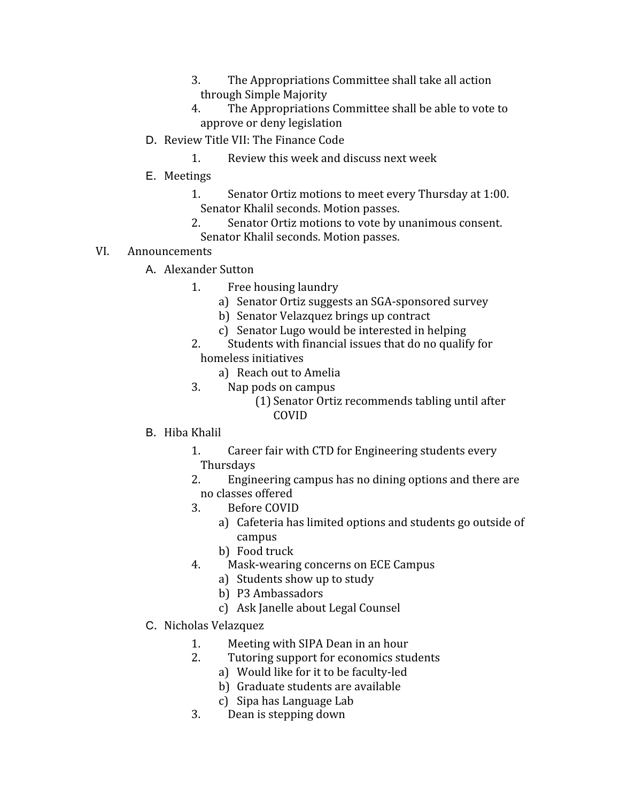- 3. The Appropriations Committee shall take all action through Simple Majority
- 4. The Appropriations Committee shall be able to vote to approve or deny legislation
- D. Review Title VII: The Finance Code
	- 1. Review this week and discuss next week
- E. Meetings
	- 1. Senator Ortiz motions to meet every Thursday at 1:00. Senator Khalil seconds. Motion passes.
	- 2. Senator Ortiz motions to vote by unanimous consent. Senator Khalil seconds. Motion passes.

## VI. Announcements

- A. Alexander Sutton
	- 1. Free housing laundry
		- a) Senator Ortiz suggests an SGA-sponsored survey
		- b) Senator Velazquez brings up contract
		- c) Senator Lugo would be interested in helping
	- 2. Students with financial issues that do no qualify for homeless initiatives
		- a) Reach out to Amelia
	- 3. Nap pods on campus
		- (1) Senator Ortiz recommends tabling until after COVID
- B. Hiba Khalil
	- 1. Career fair with CTD for Engineering students every Thursdays
	- 2. Engineering campus has no dining options and there are no classes offered
	- 3. Before COVID
		- a) Cafeteria has limited options and students go outside of campus
		- b) Food truck
	- 4. Mask-wearing concerns on ECE Campus
		- a) Students show up to study
		- b) P3 Ambassadors
		- c) Ask Janelle about Legal Counsel
- C. Nicholas Velazquez
	- 1. Meeting with SIPA Dean in an hour
	- 2. Tutoring support for economics students
		- a) Would like for it to be faculty-led
		- b) Graduate students are available
		- c) Sipa has Language Lab
	- 3. Dean is stepping down